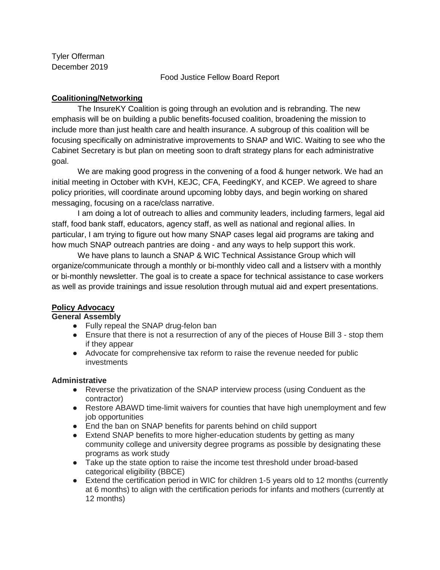Tyler Offerman December 2019

Food Justice Fellow Board Report

# **Coalitioning/Networking**

The InsureKY Coalition is going through an evolution and is rebranding. The new emphasis will be on building a public benefits-focused coalition, broadening the mission to include more than just health care and health insurance. A subgroup of this coalition will be focusing specifically on administrative improvements to SNAP and WIC. Waiting to see who the Cabinet Secretary is but plan on meeting soon to draft strategy plans for each administrative goal.

We are making good progress in the convening of a food & hunger network. We had an initial meeting in October with KVH, KEJC, CFA, FeedingKY, and KCEP. We agreed to share policy priorities, will coordinate around upcoming lobby days, and begin working on shared messaging, focusing on a race/class narrative.

I am doing a lot of outreach to allies and community leaders, including farmers, legal aid staff, food bank staff, educators, agency staff, as well as national and regional allies. In particular, I am trying to figure out how many SNAP cases legal aid programs are taking and how much SNAP outreach pantries are doing - and any ways to help support this work.

We have plans to launch a SNAP & WIC Technical Assistance Group which will organize/communicate through a monthly or bi-monthly video call and a listserv with a monthly or bi-monthly newsletter. The goal is to create a space for technical assistance to case workers as well as provide trainings and issue resolution through mutual aid and expert presentations.

## **Policy Advocacy**

**General Assembly**

- Fully repeal the SNAP drug-felon ban
- Ensure that there is not a resurrection of any of the pieces of House Bill 3 stop them if they appear
- Advocate for comprehensive tax reform to raise the revenue needed for public investments

## **Administrative**

- Reverse the privatization of the SNAP interview process (using Conduent as the contractor)
- Restore ABAWD time-limit waivers for counties that have high unemployment and few job opportunities
- End the ban on SNAP benefits for parents behind on child support
- Extend SNAP benefits to more higher-education students by getting as many community college and university degree programs as possible by designating these programs as work study
- Take up the state option to raise the income test threshold under broad-based categorical eligibility (BBCE)
- Extend the certification period in WIC for children 1-5 years old to 12 months (currently at 6 months) to align with the certification periods for infants and mothers (currently at 12 months)